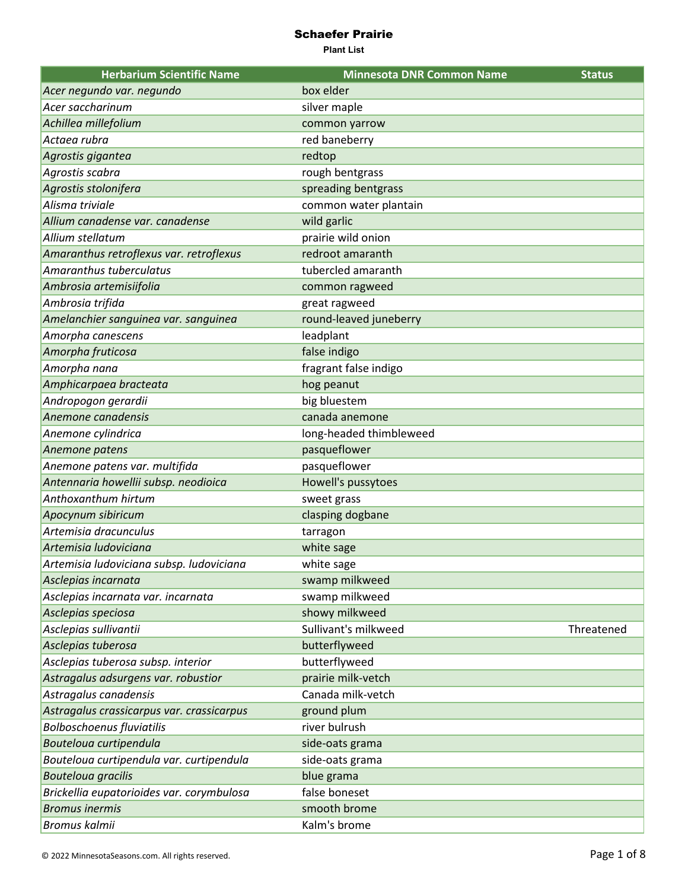| <b>Herbarium Scientific Name</b>          | <b>Minnesota DNR Common Name</b> | <b>Status</b> |
|-------------------------------------------|----------------------------------|---------------|
| Acer negundo var. negundo                 | box elder                        |               |
| Acer saccharinum                          | silver maple                     |               |
| Achillea millefolium                      | common yarrow                    |               |
| Actaea rubra                              | red baneberry                    |               |
| Agrostis gigantea                         | redtop                           |               |
| Agrostis scabra                           | rough bentgrass                  |               |
| Agrostis stolonifera                      | spreading bentgrass              |               |
| Alisma triviale                           | common water plantain            |               |
| Allium canadense var. canadense           | wild garlic                      |               |
| Allium stellatum                          | prairie wild onion               |               |
| Amaranthus retroflexus var. retroflexus   | redroot amaranth                 |               |
| Amaranthus tuberculatus                   | tubercled amaranth               |               |
| Ambrosia artemisiifolia                   | common ragweed                   |               |
| Ambrosia trifida                          | great ragweed                    |               |
| Amelanchier sanguinea var. sanguinea      | round-leaved juneberry           |               |
| Amorpha canescens                         | leadplant                        |               |
| Amorpha fruticosa                         | false indigo                     |               |
| Amorpha nana                              | fragrant false indigo            |               |
| Amphicarpaea bracteata                    | hog peanut                       |               |
| Andropogon gerardii                       | big bluestem                     |               |
| Anemone canadensis                        | canada anemone                   |               |
| Anemone cylindrica                        | long-headed thimbleweed          |               |
| Anemone patens                            | pasqueflower                     |               |
| Anemone patens var. multifida             | pasqueflower                     |               |
| Antennaria howellii subsp. neodioica      | Howell's pussytoes               |               |
| Anthoxanthum hirtum                       | sweet grass                      |               |
| Apocynum sibiricum                        | clasping dogbane                 |               |
| Artemisia dracunculus                     | tarragon                         |               |
| Artemisia Iudoviciana                     | white sage                       |               |
| Artemisia ludoviciana subsp. ludoviciana  | white sage                       |               |
| Asclepias incarnata                       | swamp milkweed                   |               |
| Asclepias incarnata var. incarnata        | swamp milkweed                   |               |
| Asclepias speciosa                        | showy milkweed                   |               |
| Asclepias sullivantii                     | Sullivant's milkweed             | Threatened    |
| Asclepias tuberosa                        | butterflyweed                    |               |
| Asclepias tuberosa subsp. interior        | butterflyweed                    |               |
| Astragalus adsurgens var. robustior       | prairie milk-vetch               |               |
| Astragalus canadensis                     | Canada milk-vetch                |               |
| Astragalus crassicarpus var. crassicarpus | ground plum                      |               |
| <b>Bolboschoenus fluviatilis</b>          | river bulrush                    |               |
| Bouteloua curtipendula                    | side-oats grama                  |               |
| Bouteloua curtipendula var. curtipendula  | side-oats grama                  |               |
| <b>Bouteloua gracilis</b>                 | blue grama                       |               |
| Brickellia eupatorioides var. corymbulosa | false boneset                    |               |
| <b>Bromus inermis</b>                     | smooth brome                     |               |
| Bromus kalmii                             | Kalm's brome                     |               |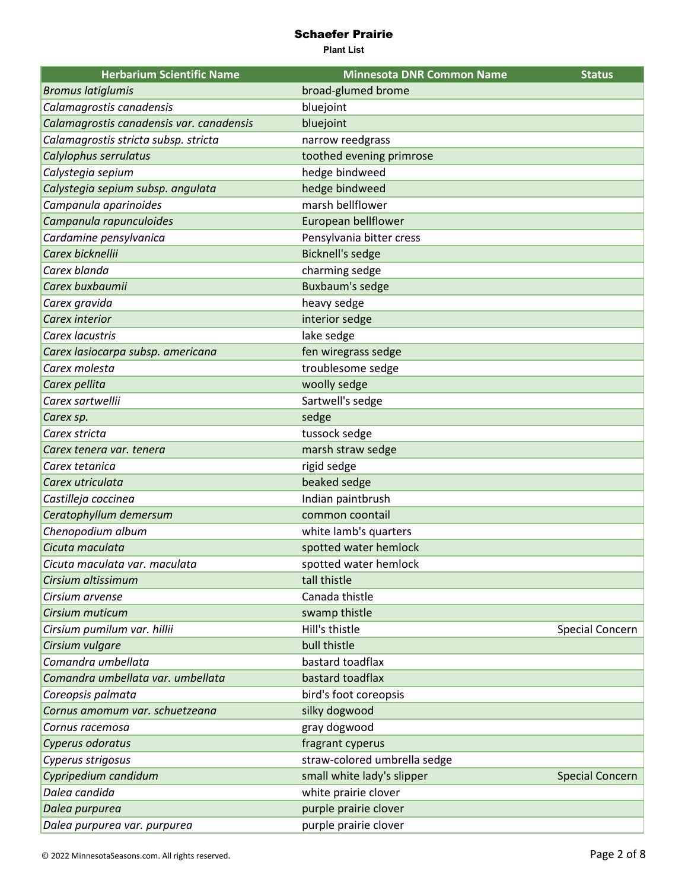| <b>Herbarium Scientific Name</b>         | <b>Minnesota DNR Common Name</b> | <b>Status</b>          |
|------------------------------------------|----------------------------------|------------------------|
| <b>Bromus latiglumis</b>                 | broad-glumed brome               |                        |
| Calamagrostis canadensis                 | bluejoint                        |                        |
| Calamagrostis canadensis var. canadensis | bluejoint                        |                        |
| Calamagrostis stricta subsp. stricta     | narrow reedgrass                 |                        |
| Calylophus serrulatus                    | toothed evening primrose         |                        |
| Calystegia sepium                        | hedge bindweed                   |                        |
| Calystegia sepium subsp. angulata        | hedge bindweed                   |                        |
| Campanula aparinoides                    | marsh bellflower                 |                        |
| Campanula rapunculoides                  | European bellflower              |                        |
| Cardamine pensylvanica                   | Pensylvania bitter cress         |                        |
| Carex bicknellii                         | <b>Bicknell's sedge</b>          |                        |
| Carex blanda                             | charming sedge                   |                        |
| Carex buxbaumii                          | Buxbaum's sedge                  |                        |
| Carex gravida                            | heavy sedge                      |                        |
| Carex interior                           | interior sedge                   |                        |
| Carex lacustris                          | lake sedge                       |                        |
| Carex lasiocarpa subsp. americana        | fen wiregrass sedge              |                        |
| Carex molesta                            | troublesome sedge                |                        |
| Carex pellita                            | woolly sedge                     |                        |
| Carex sartwellii                         | Sartwell's sedge                 |                        |
| Carex sp.                                | sedge                            |                        |
| Carex stricta                            | tussock sedge                    |                        |
| Carex tenera var. tenera                 | marsh straw sedge                |                        |
| Carex tetanica                           | rigid sedge                      |                        |
| Carex utriculata                         | beaked sedge                     |                        |
| Castilleja coccinea                      | Indian paintbrush                |                        |
| Ceratophyllum demersum                   | common coontail                  |                        |
| Chenopodium album                        | white lamb's quarters            |                        |
| Cicuta maculata                          | spotted water hemlock            |                        |
| Cicuta maculata var. maculata            | spotted water hemlock            |                        |
| Cirsium altissimum                       | tall thistle                     |                        |
| Cirsium arvense                          | Canada thistle                   |                        |
| Cirsium muticum                          | swamp thistle                    |                        |
| Cirsium pumilum var. hillii              | Hill's thistle                   | Special Concern        |
| Cirsium vulgare                          | bull thistle                     |                        |
| Comandra umbellata                       | bastard toadflax                 |                        |
| Comandra umbellata var. umbellata        | bastard toadflax                 |                        |
| Coreopsis palmata                        | bird's foot coreopsis            |                        |
| Cornus amomum var. schuetzeana           | silky dogwood                    |                        |
| Cornus racemosa                          | gray dogwood                     |                        |
| Cyperus odoratus                         | fragrant cyperus                 |                        |
| Cyperus strigosus                        | straw-colored umbrella sedge     |                        |
| Cypripedium candidum                     | small white lady's slipper       | <b>Special Concern</b> |
| Dalea candida                            | white prairie clover             |                        |
| Dalea purpurea                           | purple prairie clover            |                        |
| Dalea purpurea var. purpurea             | purple prairie clover            |                        |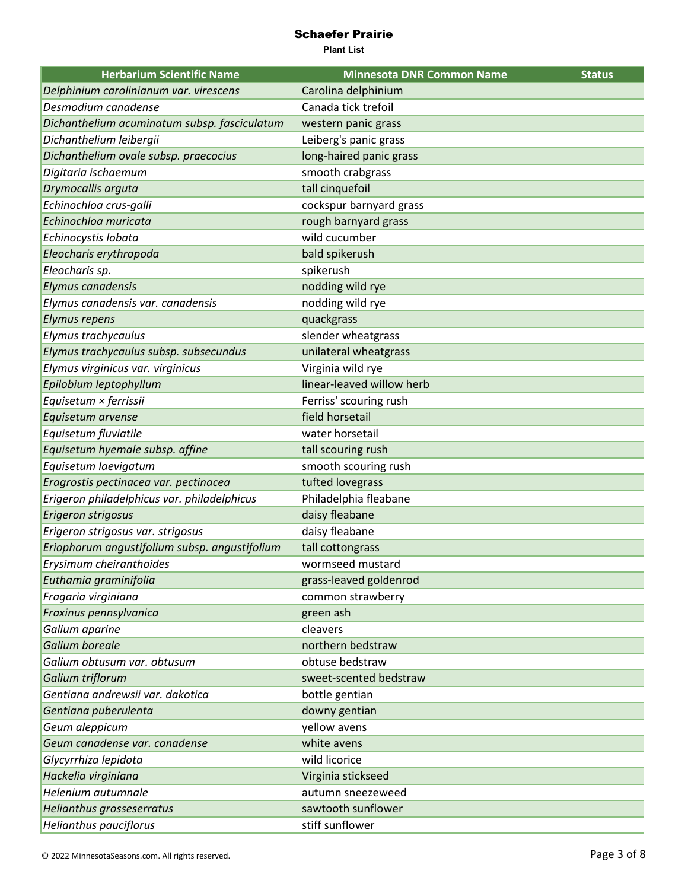| <b>Herbarium Scientific Name</b>              | <b>Minnesota DNR Common Name</b> | <b>Status</b> |
|-----------------------------------------------|----------------------------------|---------------|
| Delphinium carolinianum var. virescens        | Carolina delphinium              |               |
| Desmodium canadense                           | Canada tick trefoil              |               |
| Dichanthelium acuminatum subsp. fasciculatum  | western panic grass              |               |
| Dichanthelium leibergii                       | Leiberg's panic grass            |               |
| Dichanthelium ovale subsp. praecocius         | long-haired panic grass          |               |
| Digitaria ischaemum                           | smooth crabgrass                 |               |
| Drymocallis arguta                            | tall cinquefoil                  |               |
| Echinochloa crus-galli                        | cockspur barnyard grass          |               |
| Echinochloa muricata                          | rough barnyard grass             |               |
| Echinocystis lobata                           | wild cucumber                    |               |
| Eleocharis erythropoda                        | bald spikerush                   |               |
| Eleocharis sp.                                | spikerush                        |               |
| Elymus canadensis                             | nodding wild rye                 |               |
| Elymus canadensis var. canadensis             | nodding wild rye                 |               |
| <b>Elymus repens</b>                          | quackgrass                       |               |
| Elymus trachycaulus                           | slender wheatgrass               |               |
| Elymus trachycaulus subsp. subsecundus        | unilateral wheatgrass            |               |
| Elymus virginicus var. virginicus             | Virginia wild rye                |               |
| Epilobium leptophyllum                        | linear-leaved willow herb        |               |
| Equisetum × ferrissii                         | Ferriss' scouring rush           |               |
| Equisetum arvense                             | field horsetail                  |               |
| Equisetum fluviatile                          | water horsetail                  |               |
| Equisetum hyemale subsp. affine               | tall scouring rush               |               |
| Equisetum laevigatum                          | smooth scouring rush             |               |
| Eragrostis pectinacea var. pectinacea         | tufted lovegrass                 |               |
| Erigeron philadelphicus var. philadelphicus   | Philadelphia fleabane            |               |
| Erigeron strigosus                            | daisy fleabane                   |               |
| Erigeron strigosus var. strigosus             | daisy fleabane                   |               |
| Eriophorum angustifolium subsp. angustifolium | tall cottongrass                 |               |
| Erysimum cheiranthoides                       | wormseed mustard                 |               |
| Euthamia graminifolia                         | grass-leaved goldenrod           |               |
| Fragaria virginiana                           | common strawberry                |               |
| Fraxinus pennsylvanica                        | green ash                        |               |
| Galium aparine                                | cleavers                         |               |
| Galium boreale                                | northern bedstraw                |               |
| Galium obtusum var. obtusum                   | obtuse bedstraw                  |               |
| Galium triflorum                              | sweet-scented bedstraw           |               |
| Gentiana andrewsii var. dakotica              | bottle gentian                   |               |
| Gentiana puberulenta                          | downy gentian                    |               |
| Geum aleppicum                                | yellow avens                     |               |
| Geum canadense var. canadense                 | white avens                      |               |
| Glycyrrhiza lepidota                          | wild licorice                    |               |
| Hackelia virginiana                           | Virginia stickseed               |               |
| Helenium autumnale                            | autumn sneezeweed                |               |
| Helianthus grosseserratus                     | sawtooth sunflower               |               |
| Helianthus pauciflorus                        | stiff sunflower                  |               |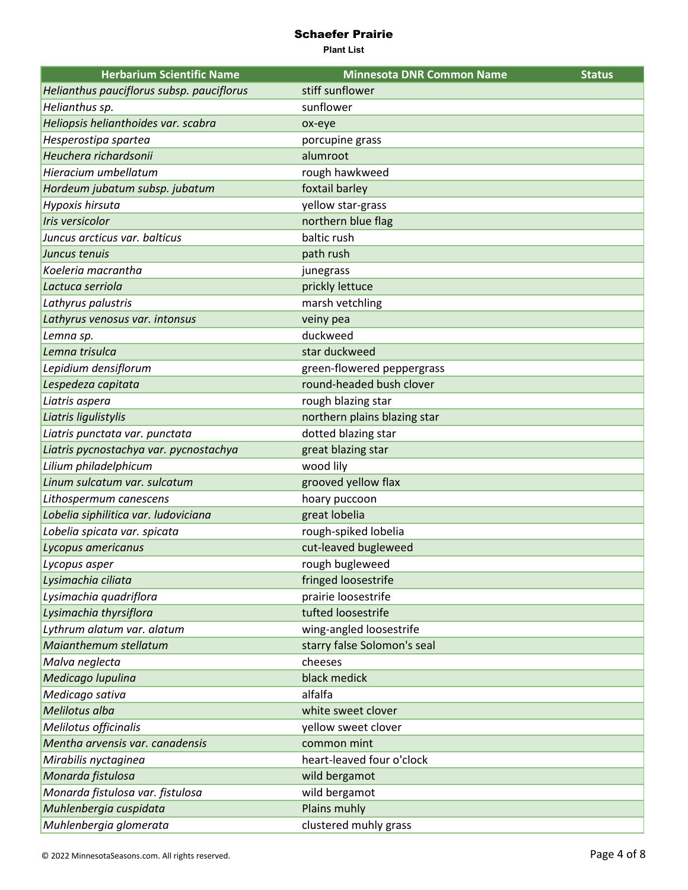| <b>Herbarium Scientific Name</b>          | <b>Minnesota DNR Common Name</b> | <b>Status</b> |
|-------------------------------------------|----------------------------------|---------------|
| Helianthus pauciflorus subsp. pauciflorus | stiff sunflower                  |               |
| Helianthus sp.                            | sunflower                        |               |
| Heliopsis helianthoides var. scabra       | ox-eye                           |               |
| Hesperostipa spartea                      | porcupine grass                  |               |
| Heuchera richardsonii                     | alumroot                         |               |
| Hieracium umbellatum                      | rough hawkweed                   |               |
| Hordeum jubatum subsp. jubatum            | foxtail barley                   |               |
| Hypoxis hirsuta                           | yellow star-grass                |               |
| Iris versicolor                           | northern blue flag               |               |
| Juncus arcticus var. balticus             | baltic rush                      |               |
| Juncus tenuis                             | path rush                        |               |
| Koeleria macrantha                        | junegrass                        |               |
| Lactuca serriola                          | prickly lettuce                  |               |
| Lathyrus palustris                        | marsh vetchling                  |               |
| Lathyrus venosus var. intonsus            | veiny pea                        |               |
| Lemna sp.                                 | duckweed                         |               |
| Lemna trisulca                            | star duckweed                    |               |
| Lepidium densiflorum                      | green-flowered peppergrass       |               |
| Lespedeza capitata                        | round-headed bush clover         |               |
| Liatris aspera                            | rough blazing star               |               |
| Liatris ligulistylis                      | northern plains blazing star     |               |
| Liatris punctata var. punctata            | dotted blazing star              |               |
| Liatris pycnostachya var. pycnostachya    | great blazing star               |               |
| Lilium philadelphicum                     | wood lily                        |               |
| Linum sulcatum var. sulcatum              | grooved yellow flax              |               |
| Lithospermum canescens                    | hoary puccoon                    |               |
| Lobelia siphilitica var. ludoviciana      | great lobelia                    |               |
| Lobelia spicata var. spicata              | rough-spiked lobelia             |               |
| Lycopus americanus                        | cut-leaved bugleweed             |               |
| Lycopus asper                             | rough bugleweed                  |               |
| Lysimachia ciliata                        | fringed loosestrife              |               |
| Lysimachia quadriflora                    | prairie loosestrife              |               |
| Lysimachia thyrsiflora                    | tufted loosestrife               |               |
| Lythrum alatum var. alatum                | wing-angled loosestrife          |               |
| Maianthemum stellatum                     | starry false Solomon's seal      |               |
| Malva neglecta                            | cheeses                          |               |
| Medicago lupulina                         | black medick                     |               |
| Medicago sativa                           | alfalfa                          |               |
| Melilotus alba                            | white sweet clover               |               |
| Melilotus officinalis                     | yellow sweet clover              |               |
| Mentha arvensis var. canadensis           | common mint                      |               |
| Mirabilis nyctaginea                      | heart-leaved four o'clock        |               |
| Monarda fistulosa                         | wild bergamot                    |               |
| Monarda fistulosa var. fistulosa          | wild bergamot                    |               |
| Muhlenbergia cuspidata                    | Plains muhly                     |               |
| Muhlenbergia glomerata                    | clustered muhly grass            |               |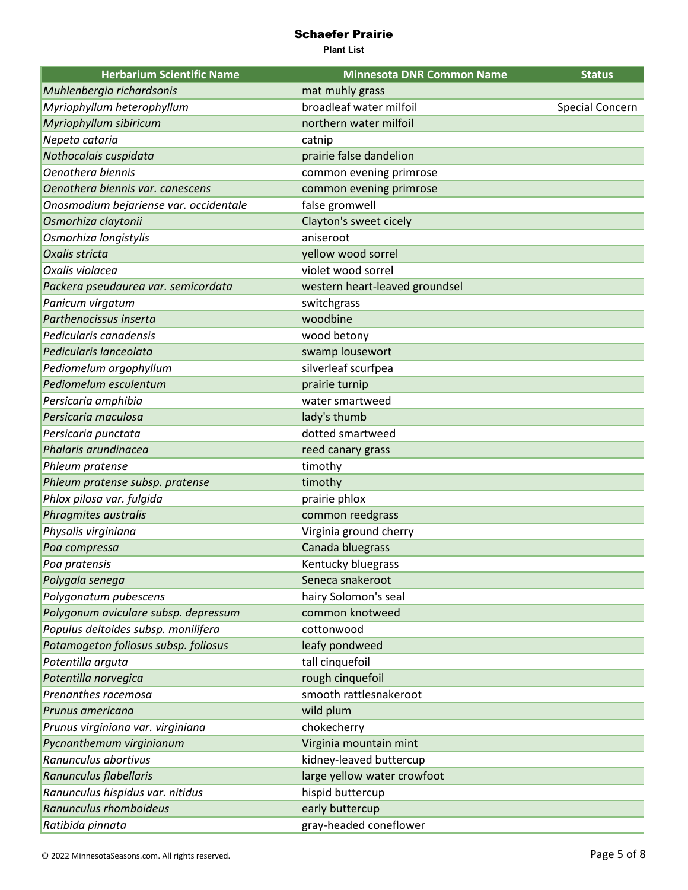| <b>Herbarium Scientific Name</b>       | <b>Minnesota DNR Common Name</b> | <b>Status</b>   |
|----------------------------------------|----------------------------------|-----------------|
| Muhlenbergia richardsonis              | mat muhly grass                  |                 |
| Myriophyllum heterophyllum             | broadleaf water milfoil          | Special Concern |
| Myriophyllum sibiricum                 | northern water milfoil           |                 |
| Nepeta cataria                         | catnip                           |                 |
| Nothocalais cuspidata                  | prairie false dandelion          |                 |
| Oenothera biennis                      | common evening primrose          |                 |
| Oenothera biennis var. canescens       | common evening primrose          |                 |
| Onosmodium bejariense var. occidentale | false gromwell                   |                 |
| Osmorhiza claytonii                    | Clayton's sweet cicely           |                 |
| Osmorhiza longistylis                  | aniseroot                        |                 |
| Oxalis stricta                         | yellow wood sorrel               |                 |
| Oxalis violacea                        | violet wood sorrel               |                 |
| Packera pseudaurea var. semicordata    | western heart-leaved groundsel   |                 |
| Panicum virgatum                       | switchgrass                      |                 |
| Parthenocissus inserta                 | woodbine                         |                 |
| Pedicularis canadensis                 | wood betony                      |                 |
| Pedicularis lanceolata                 | swamp lousewort                  |                 |
| Pediomelum argophyllum                 | silverleaf scurfpea              |                 |
| Pediomelum esculentum                  | prairie turnip                   |                 |
| Persicaria amphibia                    | water smartweed                  |                 |
| Persicaria maculosa                    | lady's thumb                     |                 |
| Persicaria punctata                    | dotted smartweed                 |                 |
| Phalaris arundinacea                   | reed canary grass                |                 |
| Phleum pratense                        | timothy                          |                 |
| Phleum pratense subsp. pratense        | timothy                          |                 |
| Phlox pilosa var. fulgida              | prairie phlox                    |                 |
| Phragmites australis                   | common reedgrass                 |                 |
| Physalis virginiana                    | Virginia ground cherry           |                 |
| Poa compressa                          | Canada bluegrass                 |                 |
| Poa pratensis                          | Kentucky bluegrass               |                 |
| Polygala senega                        | Seneca snakeroot                 |                 |
| Polygonatum pubescens                  | hairy Solomon's seal             |                 |
| Polygonum aviculare subsp. depressum   | common knotweed                  |                 |
| Populus deltoides subsp. monilifera    | cottonwood                       |                 |
| Potamogeton foliosus subsp. foliosus   | leafy pondweed                   |                 |
| Potentilla arguta                      | tall cinquefoil                  |                 |
| Potentilla norvegica                   | rough cinquefoil                 |                 |
| Prenanthes racemosa                    | smooth rattlesnakeroot           |                 |
| Prunus americana                       | wild plum                        |                 |
| Prunus virginiana var. virginiana      | chokecherry                      |                 |
| Pycnanthemum virginianum               | Virginia mountain mint           |                 |
| Ranunculus abortivus                   | kidney-leaved buttercup          |                 |
| Ranunculus flabellaris                 | large yellow water crowfoot      |                 |
| Ranunculus hispidus var. nitidus       | hispid buttercup                 |                 |
| Ranunculus rhomboideus                 | early buttercup                  |                 |
| Ratibida pinnata                       | gray-headed coneflower           |                 |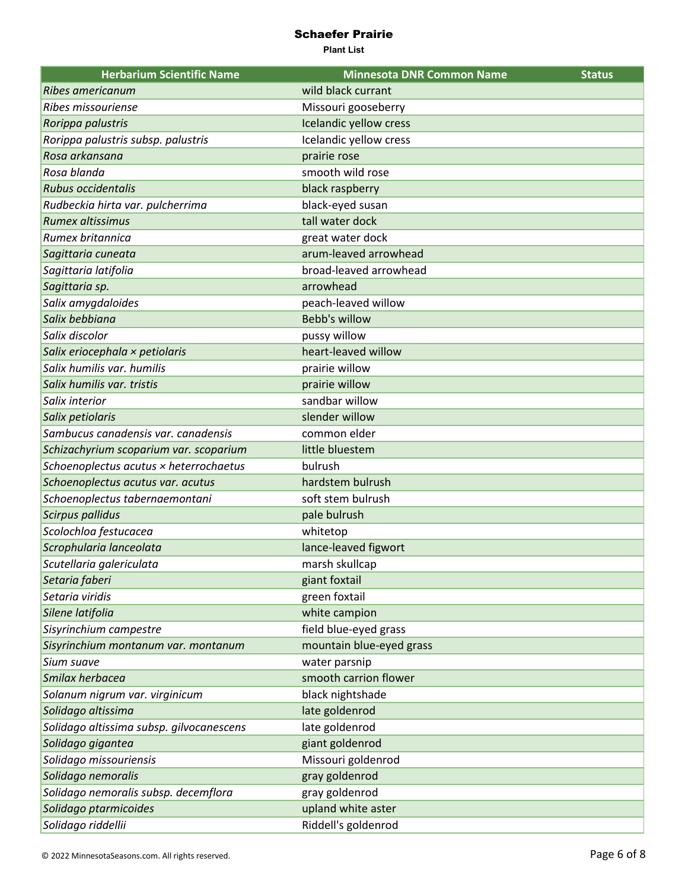| <b>Herbarium Scientific Name</b>         | <b>Minnesota DNR Common Name</b> | <b>Status</b> |
|------------------------------------------|----------------------------------|---------------|
| Ribes americanum                         | wild black currant               |               |
| Ribes missouriense                       | Missouri gooseberry              |               |
| Rorippa palustris                        | Icelandic yellow cress           |               |
| Rorippa palustris subsp. palustris       | Icelandic yellow cress           |               |
| Rosa arkansana                           | prairie rose                     |               |
| Rosa blanda                              | smooth wild rose                 |               |
| Rubus occidentalis                       | black raspberry                  |               |
| Rudbeckia hirta var. pulcherrima         | black-eyed susan                 |               |
| Rumex altissimus                         | tall water dock                  |               |
| Rumex britannica                         | great water dock                 |               |
| Sagittaria cuneata                       | arum-leaved arrowhead            |               |
| Sagittaria latifolia                     | broad-leaved arrowhead           |               |
| Sagittaria sp.                           | arrowhead                        |               |
| Salix amygdaloides                       | peach-leaved willow              |               |
| Salix bebbiana                           | <b>Bebb's willow</b>             |               |
| Salix discolor                           | pussy willow                     |               |
| Salix eriocephala × petiolaris           | heart-leaved willow              |               |
| Salix humilis var. humilis               | prairie willow                   |               |
| Salix humilis var. tristis               | prairie willow                   |               |
| Salix interior                           | sandbar willow                   |               |
| Salix petiolaris                         | slender willow                   |               |
| Sambucus canadensis var. canadensis      | common elder                     |               |
| Schizachyrium scoparium var. scoparium   | little bluestem                  |               |
| Schoenoplectus acutus × heterrochaetus   | bulrush                          |               |
| Schoenoplectus acutus var. acutus        | hardstem bulrush                 |               |
| Schoenoplectus tabernaemontani           | soft stem bulrush                |               |
| <b>Scirpus pallidus</b>                  | pale bulrush                     |               |
| Scolochloa festucacea                    | whitetop                         |               |
| Scrophularia lanceolata                  | lance-leaved figwort             |               |
| Scutellaria galericulata                 | marsh skullcap                   |               |
| Setaria faberi                           | giant foxtail                    |               |
| Setaria viridis                          | green foxtail                    |               |
| Silene latifolia                         | white campion                    |               |
| Sisyrinchium campestre                   | field blue-eyed grass            |               |
| Sisyrinchium montanum var. montanum      | mountain blue-eyed grass         |               |
| Sium suave                               | water parsnip                    |               |
| Smilax herbacea                          | smooth carrion flower            |               |
| Solanum nigrum var. virginicum           | black nightshade                 |               |
| Solidago altissima                       | late goldenrod                   |               |
| Solidago altissima subsp. gilvocanescens | late goldenrod                   |               |
| Solidago gigantea                        | giant goldenrod                  |               |
| Solidago missouriensis                   | Missouri goldenrod               |               |
| Solidago nemoralis                       | gray goldenrod                   |               |
| Solidago nemoralis subsp. decemflora     | gray goldenrod                   |               |
| Solidago ptarmicoides                    | upland white aster               |               |
| Solidago riddellii                       | Riddell's goldenrod              |               |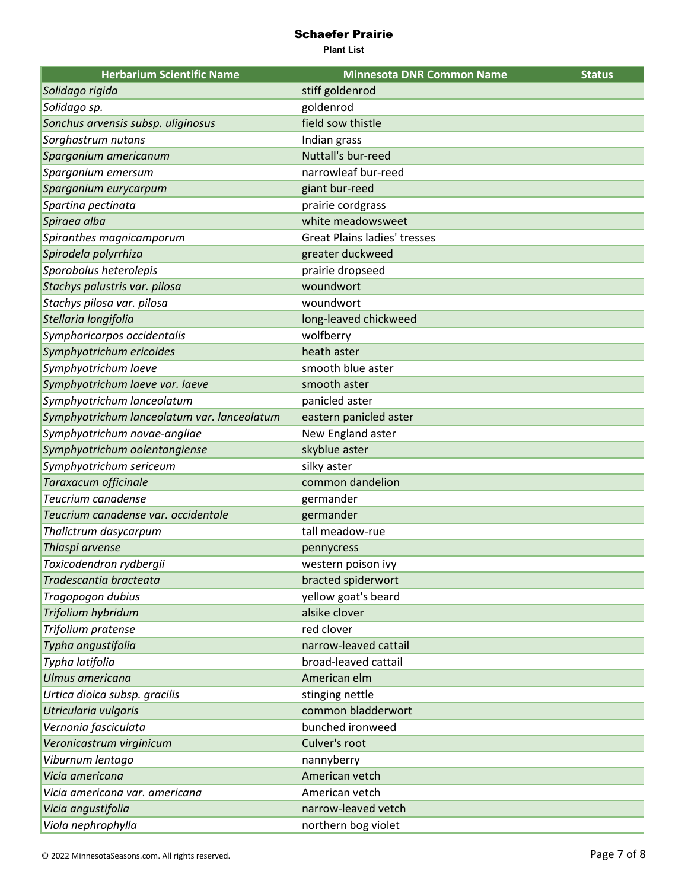| <b>Herbarium Scientific Name</b>            | <b>Minnesota DNR Common Name</b>    | <b>Status</b> |
|---------------------------------------------|-------------------------------------|---------------|
| Solidago rigida                             | stiff goldenrod                     |               |
| Solidago sp.                                | goldenrod                           |               |
| Sonchus arvensis subsp. uliginosus          | field sow thistle                   |               |
| Sorghastrum nutans                          | Indian grass                        |               |
| Sparganium americanum                       | Nuttall's bur-reed                  |               |
| Sparganium emersum                          | narrowleaf bur-reed                 |               |
| Sparganium eurycarpum                       | giant bur-reed                      |               |
| Spartina pectinata                          | prairie cordgrass                   |               |
| Spiraea alba                                | white meadowsweet                   |               |
| Spiranthes magnicamporum                    | <b>Great Plains ladies' tresses</b> |               |
| Spirodela polyrrhiza                        | greater duckweed                    |               |
| Sporobolus heterolepis                      | prairie dropseed                    |               |
| Stachys palustris var. pilosa               | woundwort                           |               |
| Stachys pilosa var. pilosa                  | woundwort                           |               |
| Stellaria longifolia                        | long-leaved chickweed               |               |
| Symphoricarpos occidentalis                 | wolfberry                           |               |
| Symphyotrichum ericoides                    | heath aster                         |               |
| Symphyotrichum laeve                        | smooth blue aster                   |               |
| Symphyotrichum laeve var. laeve             | smooth aster                        |               |
| Symphyotrichum lanceolatum                  | panicled aster                      |               |
| Symphyotrichum lanceolatum var. lanceolatum | eastern panicled aster              |               |
| Symphyotrichum novae-angliae                | New England aster                   |               |
| Symphyotrichum oolentangiense               | skyblue aster                       |               |
| Symphyotrichum sericeum                     | silky aster                         |               |
| Taraxacum officinale                        | common dandelion                    |               |
| Teucrium canadense                          | germander                           |               |
| Teucrium canadense var. occidentale         | germander                           |               |
| Thalictrum dasycarpum                       | tall meadow-rue                     |               |
| Thlaspi arvense                             | pennycress                          |               |
| Toxicodendron rydbergii                     | western poison ivy                  |               |
| Tradescantia bracteata                      | bracted spiderwort                  |               |
| Tragopogon dubius                           | yellow goat's beard                 |               |
| Trifolium hybridum                          | alsike clover                       |               |
| Trifolium pratense                          | red clover                          |               |
| Typha angustifolia                          | narrow-leaved cattail               |               |
| Typha latifolia                             | broad-leaved cattail                |               |
| Ulmus americana                             | American elm                        |               |
| Urtica dioica subsp. gracilis               | stinging nettle                     |               |
| Utricularia vulgaris                        | common bladderwort                  |               |
| Vernonia fasciculata                        | bunched ironweed                    |               |
| Veronicastrum virginicum                    | Culver's root                       |               |
| Viburnum lentago                            | nannyberry                          |               |
| Vicia americana                             | American vetch                      |               |
| Vicia americana var. americana              | American vetch                      |               |
| Vicia angustifolia                          | narrow-leaved vetch                 |               |
| Viola nephrophylla                          | northern bog violet                 |               |